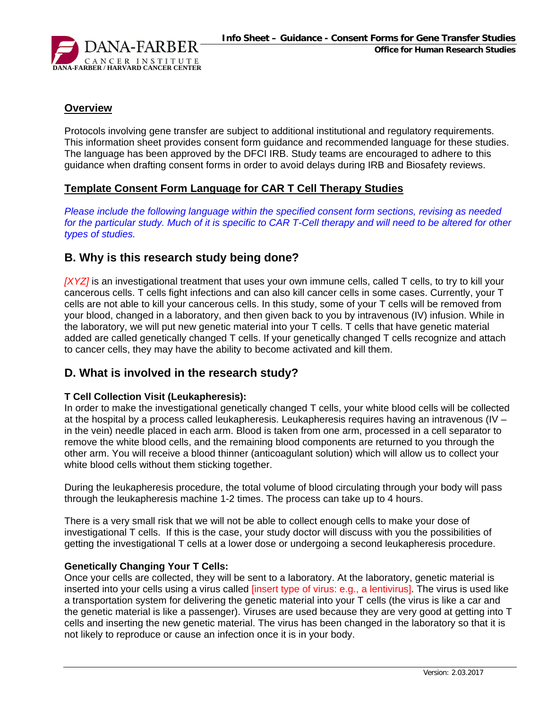

#### **Overview**

Protocols involving gene transfer are subject to additional institutional and regulatory requirements. This information sheet provides consent form guidance and recommended language for these studies. The language has been approved by the DFCI IRB. Study teams are encouraged to adhere to this guidance when drafting consent forms in order to avoid delays during IRB and Biosafety reviews.

#### **Template Consent Form Language for CAR T Cell Therapy Studies**

*Please include the following language within the specified consent form sections, revising as needed for the particular study. Much of it is specific to CAR T-Cell therapy and will need to be altered for other types of studies.*

# **B. Why is this research study being done?**

*[XYZ]* is an investigational treatment that uses your own immune cells, called T cells, to try to kill your cancerous cells. T cells fight infections and can also kill cancer cells in some cases. Currently, your T cells are not able to kill your cancerous cells. In this study, some of your T cells will be removed from your blood, changed in a laboratory, and then given back to you by intravenous (IV) infusion. While in the laboratory, we will put new genetic material into your T cells. T cells that have genetic material added are called genetically changed T cells. If your genetically changed T cells recognize and attach to cancer cells, they may have the ability to become activated and kill them.

# **D. What is involved in the research study?**

#### **T Cell Collection Visit (Leukapheresis):**

In order to make the investigational genetically changed T cells, your white blood cells will be collected at the hospital by a process called leukapheresis. Leukapheresis requires having an intravenous (IV – in the vein) needle placed in each arm. Blood is taken from one arm, processed in a cell separator to remove the white blood cells, and the remaining blood components are returned to you through the other arm. You will receive a blood thinner (anticoagulant solution) which will allow us to collect your white blood cells without them sticking together.

During the leukapheresis procedure, the total volume of blood circulating through your body will pass through the leukapheresis machine 1-2 times. The process can take up to 4 hours.

There is a very small risk that we will not be able to collect enough cells to make your dose of investigational T cells. If this is the case, your study doctor will discuss with you the possibilities of getting the investigational T cells at a lower dose or undergoing a second leukapheresis procedure.

#### **Genetically Changing Your T Cells:**

Once your cells are collected, they will be sent to a laboratory. At the laboratory, genetic material is inserted into your cells using a virus called [insert type of virus: e.g., a lentivirus]. The virus is used like a transportation system for delivering the genetic material into your T cells (the virus is like a car and the genetic material is like a passenger). Viruses are used because they are very good at getting into T cells and inserting the new genetic material. The virus has been changed in the laboratory so that it is not likely to reproduce or cause an infection once it is in your body.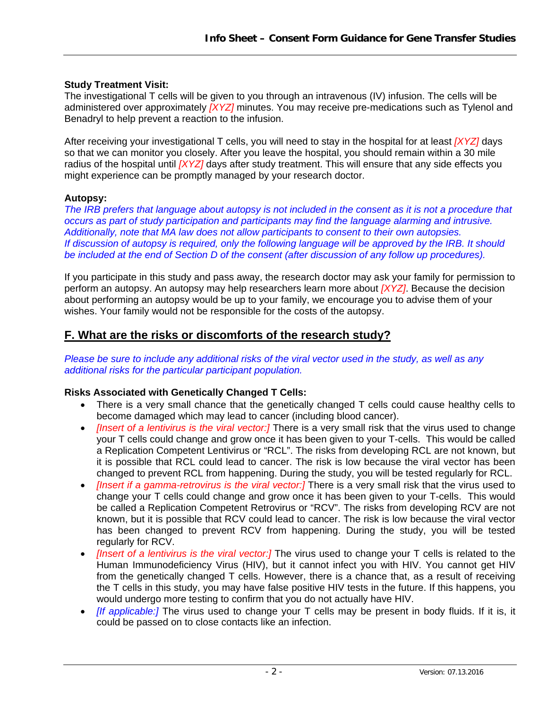### **Study Treatment Visit:**

The investigational T cells will be given to you through an intravenous (IV) infusion. The cells will be administered over approximately *[XYZ]* minutes. You may receive pre-medications such as Tylenol and Benadryl to help prevent a reaction to the infusion.

After receiving your investigational T cells, you will need to stay in the hospital for at least *[XYZ]* days so that we can monitor you closely. After you leave the hospital, you should remain within a 30 mile radius of the hospital until *[XYZ]* days after study treatment. This will ensure that any side effects you might experience can be promptly managed by your research doctor.

### **Autopsy:**

*The IRB prefers that language about autopsy is not included in the consent as it is not a procedure that occurs as part of study participation and participants may find the language alarming and intrusive. Additionally, note that MA law does not allow participants to consent to their own autopsies. If discussion of autopsy is required, only the following language will be approved by the IRB. It should be included at the end of Section D of the consent (after discussion of any follow up procedures).* 

If you participate in this study and pass away, the research doctor may ask your family for permission to perform an autopsy. An autopsy may help researchers learn more about *[XYZ]*. Because the decision about performing an autopsy would be up to your family, we encourage you to advise them of your wishes. Your family would not be responsible for the costs of the autopsy.

# **F. What are the risks or discomforts of the research study?**

*Please be sure to include any additional risks of the viral vector used in the study, as well as any additional risks for the particular participant population.* 

#### **Risks Associated with Genetically Changed T Cells:**

- There is a very small chance that the genetically changed T cells could cause healthy cells to become damaged which may lead to cancer (including blood cancer).
- *Ilnsert of a lentivirus is the viral vector:]* There is a very small risk that the virus used to change your T cells could change and grow once it has been given to your T-cells. This would be called a Replication Competent Lentivirus or "RCL". The risks from developing RCL are not known, but it is possible that RCL could lead to cancer. The risk is low because the viral vector has been changed to prevent RCL from happening. During the study, you will be tested regularly for RCL.
- *[Insert if a gamma-retrovirus is the viral vector:]* There is a very small risk that the virus used to change your T cells could change and grow once it has been given to your T-cells. This would be called a Replication Competent Retrovirus or "RCV". The risks from developing RCV are not known, but it is possible that RCV could lead to cancer. The risk is low because the viral vector has been changed to prevent RCV from happening. During the study, you will be tested regularly for RCV.
- *[Insert of a lentivirus is the viral vector:]* The virus used to change your T cells is related to the Human Immunodeficiency Virus (HIV), but it cannot infect you with HIV. You cannot get HIV from the genetically changed T cells. However, there is a chance that, as a result of receiving the T cells in this study, you may have false positive HIV tests in the future. If this happens, you would undergo more testing to confirm that you do not actually have HIV.
- *If applicable:]* The virus used to change your T cells may be present in body fluids. If it is, it could be passed on to close contacts like an infection.